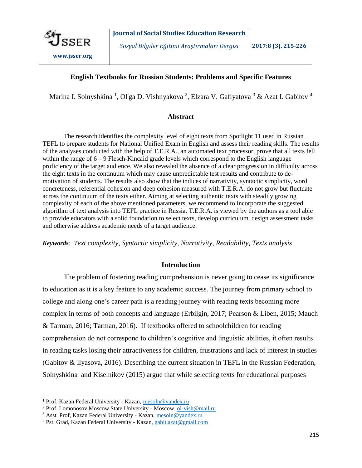

*Sosyal Bilgiler Eğitimi Araştırmaları Dergisi* **2017:8 (3), 215-226**

# **English Textbooks for Russian Students: Problems and Specific Features**

Marina I. Solnyshkina <sup>1</sup>, Ol'ga D. Vishnyakova <sup>2</sup>, Elzara V. Gafiyatova <sup>3</sup> & Azat I. Gabitov <sup>4</sup>

### **Abstract**

The research identifies the complexity level of eight texts from Spotlight 11 used in Russian TEFL to prepare students for National Unified Exam in English and assess their reading skills. The results of the analyses conducted with the help of T.E.R.A., an automated text processor, prove that all texts fell within the range of  $6 - 9$  Flesch-Kincaid grade levels which correspond to the English language proficiency of the target audience. We also revealed the absence of a clear progression in difficulty across the eight texts in the continuum which may cause unpredictable test results and contribute to demotivation of students. The results also show that the indices of narrativity, syntactic simplicity, word concreteness, referential cohesion and deep cohesion measured with T.E.R.A. do not grow but fluctuate across the continuum of the texts either. Aiming at selecting authentic texts with steadily growing complexity of each of the above mentioned parameters, we recommend to incorporate the suggested algorithm of text analysis into TEFL practice in Russia. T.E.R.A. is viewed by the authors as a tool able to provide educators with a solid foundation to select texts, develop curriculum, design assessment tasks and otherwise address academic needs of a target audience.

*Keywords: Text complexity, Syntactic simplicity, Narrativity, Readability, Texts analysis*

# **Introduction**

The problem of fostering reading comprehension is never going to cease its significance to education as it is a key feature to any academic success. The journey from primary school to college and along one's career path is a reading journey with reading texts becoming more complex in terms of both concepts and language (Erbilgin, 2017; Pearson & Liben, 2015; Mauch & Tarman, 2016; Tarman, 2016). If textbooks offered to schoolchildren for reading comprehension do not correspond to children's cognitive and linguistic abilities, it often results in reading tasks losing their attractiveness for children, frustrations and lack of interest in studies (Gabitov & Ilyasova, 2016). Describing the current situation in TEFL in the Russian Federation, Solnyshkina and Kiselnikov (2015) argue that while selecting texts for educational purposes

 $\overline{\phantom{a}}$ 

<sup>1</sup> Prof, Kazan Federal University - Kazan, mesoln@yandex.ru

<sup>2</sup> Prof, Lomonosov Moscow State University - Moscow, ol-vish@mail.ru

<sup>3</sup> Asst. Prof, Kazan Federal University - Kazan, mesoln@yandex.ru

<sup>4</sup> Pst. Grad, Kazan Federal University - Kazan, gabit.azat@gmail.com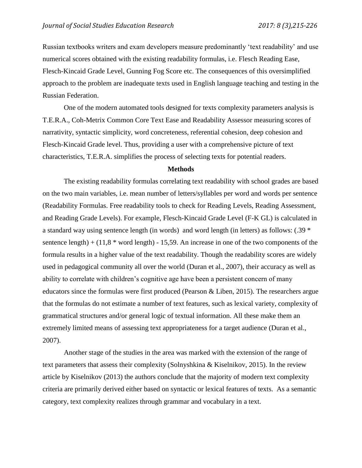Russian textbooks writers and exam developers measure predominantly 'text readability' and use numerical scores obtained with the existing readability formulas, i.e. [Flesch Reading Ease,](https://readable.io/content/the-flesch-reading-ease-and-flesch-kincaid-grade-level/) [Flesch-Kincaid Grade Level,](https://readable.io/content/the-flesch-reading-ease-and-flesch-kincaid-grade-level/) [Gunning Fog Score](https://readable.io/content/the-gunning-fog-index/) etc. The consequences of this oversimplified approach to the problem are inadequate texts used in English language teaching and testing in the Russian Federation.

One of the modern automated tools designed for texts complexity parameters analysis is T.E.R.A., Coh-Metrix Common Core Text Ease and Readability Assessor measuring scores of narrativity, syntactic simplicity, word concreteness, referential cohesion, deep cohesion and Flesch-Kincaid Grade level. Thus, providing a user with a comprehensive picture of text characteristics, T.E.R.A. simplifies the process of selecting texts for potential readers.

#### **Methods**

The existing readability formulas correlating text readability with school grades are based on the two main variables, i.e. mean number of letters/syllables per word and words per sentence (Readability Formulas. Free readability tools to check for Reading Levels, Reading Assessment, and Reading Grade Levels). For example, [Flesch-Kincaid Grade Level](https://readable.io/content/the-flesch-reading-ease-and-flesch-kincaid-grade-level/) (F-K GL) is calculated in a standard way using sentence length (in words) and word length (in letters) as follows: (.39 \* sentence length) +  $(11,8 * word length) - 15,59$ . An increase in one of the two components of the formula results in a higher value of the text readability. Though the readability scores are widely used in pedagogical community all over the world (Duran et al., 2007), their accuracy as well as ability to correlate with children's cognitive age have been a persistent concern of many educators since the formulas were first produced (Pearson & Liben, 2015). The researchers argue that the formulas do not estimate a number of text features, such as lexical variety, complexity of grammatical structures and/or general logic of textual information. All these make them an extremely limited means of assessing text appropriateness for a target audience (Duran et al., 2007).

Another stage of the studies in the area was marked with the extension of the range of text parameters that assess their complexity (Solnyshkina & Kiselnikov, 2015). In the review article by Kiselnikov (2013) the authors conclude that the majority of modern text complexity criteria are primarily derived either based on syntactic or lexical features of texts. As a semantic category, text complexity realizes through grammar and vocabulary in a text.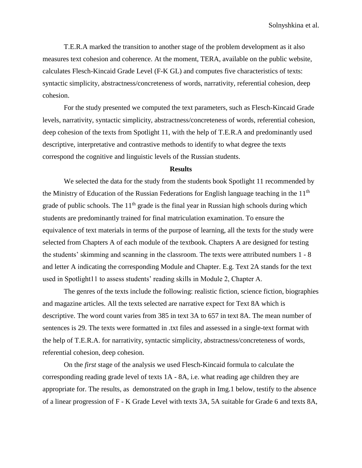T.E.R.A marked the transition to another stage of the problem development as it also measures text cohesion and coherence. At the moment, TERA, available on the public website, calculates [Flesch-Kincaid Grade Level](https://readable.io/content/the-flesch-reading-ease-and-flesch-kincaid-grade-level/) (F-K GL) and computes five characteristics of texts: syntactic simplicity, abstractness/concreteness of words, narrativity, referential cohesion, deep cohesion.

For the study presented we computed the text parameters, such as Flesch-Kincaid Grade levels, narrativity, syntactic simplicity, abstractness/concreteness of words, referential cohesion, deep cohesion of the texts from Spotlight 11, with the help of T.E.R.A and predominantly used descriptive, interpretative and contrastive methods to identify to what degree the texts correspond the cognitive and linguistic levels of the Russian students.

#### **Results**

We selected the data for the study from the students book Spotlight 11 recommended by the Ministry of Education of the Russian Federations for English language teaching in the  $11<sup>th</sup>$ grade of public schools. The  $11<sup>th</sup>$  grade is the final year in Russian high schools during which students are predominantly trained for final matriculation examination. To ensure the equivalence of text materials in terms of the purpose of learning, all the texts for the study were selected from Chapters A of each module of the textbook. Chapters A are designed for testing the students' skimming and scanning in the classroom. The texts were attributed numbers 1 - 8 and letter A indicating the corresponding Module and Chapter. E.g. Text 2A stands for the text used in Spotlight11 to assess students' reading skills in Module 2, Chapter A.

The genres of the texts include the following: realistic fiction, science fiction, biographies and magazine articles. All the texts selected are narrative expect for Text 8A which is descriptive. The word count varies from 385 in text 3A to 657 in text 8A. The mean number of sentences is 29. The texts were formatted in .txt files and assessed in a single-text format with the help of T.E.R.A. for narrativity, syntactic simplicity, abstractness/concreteness of words, referential cohesion, deep cohesion.

On the *first* stage of the analysis we used Flesch-Kincaid formula to calculate the corresponding reading grade level of texts 1A - 8A, i.e. what reading age children they are appropriate for. The results, as demonstrated on the graph in Img.1 below, testify to the absence of a linear progression of F - K Grade Level with texts 3A, 5A suitable for Grade 6 and texts 8A,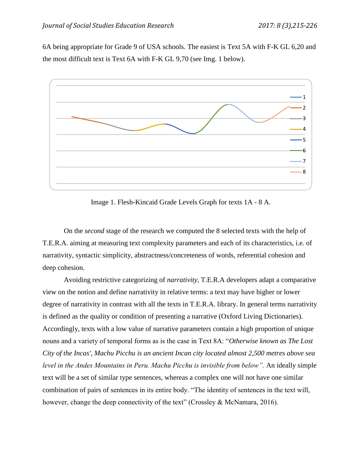6A being appropriate for Grade 9 of USA schools. The easiest is Text 5A with F-K GL 6,20 and the most difficult text is Text 6A with F-K GL 9,70 (see Img. 1 below).



Image 1. Flesh-Kincaid Grade Levels Graph for texts 1A - 8 A.

On the *second* stage of the research we computed the 8 selected texts with the help of T.E.R.A. aiming at measuring text complexity parameters and each of its characteristics, i.e. of narrativity, syntactic simplicity, abstractness/concreteness of words, referential cohesion and deep cohesion.

Avoiding restrictive categorizing of *narrativity*, T.E.R.A developers adapt a comparative view on the notion and define narrativity in relative terms: a text may have higher or lower degree of narrativity in contrast with all the texts in T.E.R.A. library. In general terms narrativity is defined as the quality or condition of presenting a narrative (Oxford Living Dictionaries). Accordingly, texts with a low value of narrative parameters contain a high proportion of unique nouns and a variety of temporal forms as is the case in Text 8A: "*Otherwise known as The Lost City of the Incas', Machu Picchu is an ancient Incan city located almost 2,500 metres above sea level in the Andes Mountains in Peru. Machu Picchu is invisible from below".* An ideally simple text will be a set of similar type sentences, whereas a complex one will not have one similar combination of pairs of sentences in its entire body. "The identity of sentences in the text will, however, change the deep connectivity of the text" (Crossley & McNamara, 2016).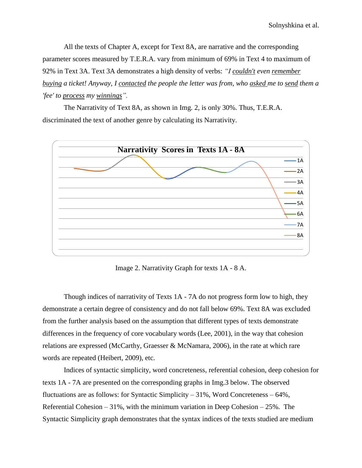All the texts of Chapter A, except for Text 8A, are narrative and the corresponding parameter scores measured by T.E.R.A. vary from minimum of 69% in Text 4 to maximum of 92% in Text 3A. Text 3A demonstrates a high density of verbs: *"I couldn't even remember buying a ticket! Anyway, I contacted the people the letter was from, who asked me to send them a 'fee' to process my winnings".* 

The Narrativity of Text 8A, as shown in Img. 2, is only 30%. Thus, T.E.R.A. discriminated the text of another genre by calculating its Narrativity.



Image 2. Narrativity Graph for texts 1A - 8 A.

Though indices of narrativity of Texts 1A - 7A do not progress form low to high, they demonstrate a certain degree of consistency and do not fall below 69%. Text 8A was excluded from the further analysis based on the assumption that different types of texts demonstrate differences in the frequency of core vocabulary words (Lee, 2001), in the way that cohesion relations are expressed (McCarthy, Graesser & McNamara, 2006), in the rate at which rare words are repeated (Heibert, 2009), etc.

Indices of syntactic simplicity, word concreteness, referential cohesion, deep cohesion for texts 1A - 7A are presented on the corresponding graphs in Img.3 below. The observed fluctuations are as follows: for Syntactic Simplicity –  $31\%$ , Word Concreteness –  $64\%$ , Referential Cohesion – 31%, with the minimum variation in Deep Cohesion – 25%. The Syntactic Simplicity graph demonstrates that the syntax indices of the texts studied are medium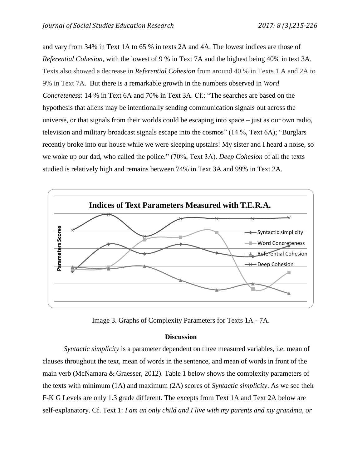and vary from 34% in Text 1A to 65 % in texts 2A and 4A. The lowest indices are those of *Referential Cohesion*, with the lowest of 9 % in Text 7A and the highest being 40% in text 3A. Texts also showed a decrease in *Referential Cohesion* from around 40 % in Texts 1 A and 2A to 9% in Text 7A. But there is a remarkable growth in the numbers observed in *Word Concreteness*: 14 % in Text 6A and 70% in Text 3A. Cf.: "The searches are based on the hypothesis that aliens may be intentionally sending communication signals out across the universe, or that signals from their worlds could be escaping into space – just as our own radio, television and military broadcast signals escape into the cosmos" (14 %, Text 6A); "Burglars recently broke into our house while we were sleeping upstairs! My sister and I heard a noise, so we woke up our dad, who called the police." (70%, Text 3A). *Deep Cohesion* of all the texts studied is relatively high and remains between 74% in Text 3A and 99% in Text 2A.



Image 3. Graphs of Complexity Parameters for Texts 1A - 7A.

# **Discussion**

*Syntactic simplicity* is a parameter dependent on three measured variables, i.e. mean of clauses throughout the text, mean of words in the sentence, and mean of words in front of the main verb (McNamara & Graesser, 2012). Table 1 below shows the complexity parameters of the texts with minimum (1A) and maximum (2A) scores of *Syntactic simplicity*. As we see their F-K G Levels are only 1.3 grade different. The excepts from Text 1A and Text 2A below are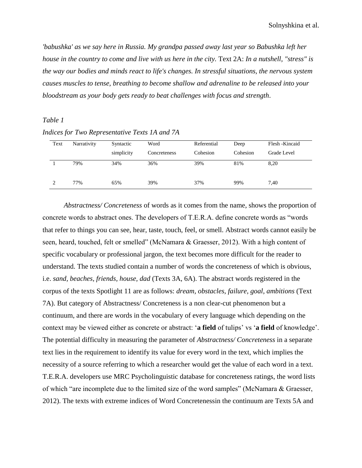*'babushka' as we say here in Russia. My grandpa passed away last year so Babushka left her house in the country to come and live with us here in the city.* Text 2A: *In a nutshell, "stress" is the way our bodies and minds react to life's changes. In stressful situations, the nervous system causes muscles to tense, breathing to become shallow and adrenaline to be released into your bloodstream as your body gets ready to beat challenges with focus and strength*.

### *Table 1*

## *Indices for Two Representative Texts 1A and 7A*

| Text | Narrativity | Syntactic<br>simplicity | Word<br>Concreteness | Referential<br>Cohesion | Deep<br>Cohesion | Flesh - Kincaid<br>Grade Level |
|------|-------------|-------------------------|----------------------|-------------------------|------------------|--------------------------------|
|      | 79%         | 34%                     | 36%                  | 39%                     | 81%              | 8,20                           |
|      | 77%         | 65%                     | 39%                  | 37%                     | 99%              | 7.40                           |

*Abstractness/ Concreteness* of words as it comes from the name, shows the proportion of concrete words to abstract ones. The developers of T.E.R.A. define concrete words as "words that refer to things you can see, hear, taste, touch, feel, or smell. Abstract words cannot easily be seen, heard, touched, felt or smelled" (McNamara & Graesser, 2012). With a high content of specific vocabulary or professional jargon, the text becomes more difficult for the reader to understand. The texts studied contain a number of words the concreteness of which is obvious, i.e. *sand, beaches, friends, house, dad* (Texts 3A, 6A). The abstract words registered in the corpus of the texts Spotlight 11 are as follows: *dream, obstacles, failure, goal, ambitions* (Text 7A). But category of Abstractness/ Concreteness is a non clear-cut phenomenon but a continuum, and there are words in the vocabulary of every language which depending on the context may be viewed either as concrete or abstract: '**a field** of tulips' vs '**a field** of knowledge'. The potential difficulty in measuring the parameter of *Abstractness/ Concreteness* in a separate text lies in the requirement to identify its value for every word in the text, which implies the necessity of a source referring to which a researcher would get the value of each word in a text. T.E.R.A. developers use MRC Psycholinguistic database for concreteness ratings, the word lists of which "are incomplete due to the limited size of the word samples" (McNamara & Graesser, 2012). The texts with extreme indices of Word Concretenessin the continuum are Texts 5A and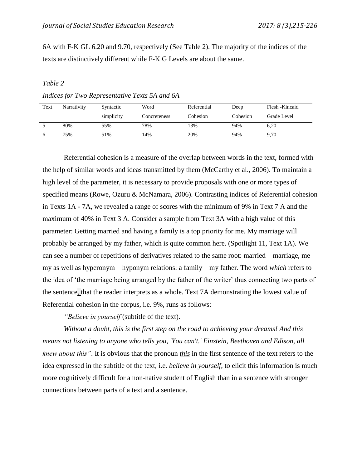6A with F-K GL 6.20 and 9.70, respectively (See Table 2). The majority of the indices of the texts are distinctively different while F-K G Levels are about the same.

#### *Table 2*

*Indices for Two Representative Texts 5A and 6A*

| Text | Narrativity | Syntactic  | Word         | Referential | Deep     | Flesh - Kincaid |
|------|-------------|------------|--------------|-------------|----------|-----------------|
|      |             | simplicity | Concreteness | Cohesion    | Cohesion | Grade Level     |
|      | 80%         | 55%        | 78%          | 13%         | 94%      | 6,20            |
| O    | 75%         | 51%        | 14%          | 20%         | 94%      | 9,70            |

Referential cohesion is a measure of the overlap between words in the text, formed with the help of similar words and ideas transmitted by them (McCarthy et al., 2006). To maintain a high level of the parameter, it is necessary to provide proposals with one or more types of specified means (Rowe, Ozuru & McNamara, 2006). Contrasting indices of Referential cohesion in Texts 1A - 7A, we revealed a range of scores with the minimum of 9% in Text 7 A and the maximum of 40% in Text 3 A. Consider a sample from Text 3A with a high value of this parameter: Getting married and having a family is a top priority for me. My marriage will probably be arranged by my father, which is quite common here. (Spotlight 11, Text 1A). We can see a number of repetitions of derivatives related to the same root: married – marriage, me – my as well as hyperonym – hyponym relations: a family – my father. The word *which* refers to the idea of 'the marriage being arranged by the father of the writer' thus connecting two parts of the sentence, that the reader interprets as a whole. Text 7A demonstrating the lowest value of Referential cohesion in the corpus, i.e. 9%, runs as follows:

*"Believe in yourself* (subtitle of the text).

*Without a doubt, this is the first step on the road to achieving your dreams! And this means not listening to anyone who tells you, 'You can't.' Einstein, Beethoven and Edison, all knew about this"*. It is obvious that the pronoun *this* in the first sentence of the text refers to the idea expressed in the subtitle of the text, i.e. *believe in yourself*, to elicit this information is much more cognitively difficult for a non-native student of English than in a sentence with stronger connections between parts of a text and a sentence.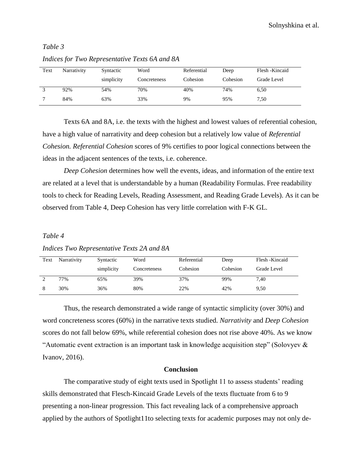## *Table 3*

| Text | Narrativity | Syntactic  | Word         | Referential | Deep     | Flesh - Kincaid |
|------|-------------|------------|--------------|-------------|----------|-----------------|
|      |             | simplicity | Concreteness | Cohesion    | Cohesion | Grade Level     |
|      | 92%         | 54%        | 70%          | 40%         | 74%      | 6,50            |
|      | 84%         | 63%        | 33%          | 9%          | 95%      | 7,50            |

*Indices for Two Representative Texts 6A and 8A*

Texts 6A and 8A, i.e. the texts with the highest and lowest values of referential cohesion, have a high value of narrativity and deep cohesion but a relatively low value of *Referential Cohesion. Referential Cohesion* scores of 9% certifies to poor logical connections between the ideas in the adjacent sentences of the texts, i.e. coherence.

*Deep Cohesion* determines how well the events, ideas, and information of the entire text are related at a level that is understandable by a human (Readability Formulas. Free readability tools to check for Reading Levels, Reading Assessment, and Reading Grade Levels). As it can be observed from Table 4, Deep Cohesion has very little correlation with F-K GL.

#### *Table 4*

*Indices Two Representative Texts 2A and 8A*

| Text | Narrativity | Syntactic  | Word         | Referential | Deep     | Flesh - Kincaid |
|------|-------------|------------|--------------|-------------|----------|-----------------|
|      |             | simplicity | Concreteness | Cohesion    | Cohesion | Grade Level     |
|      | 77%         | 65%        | 39%          | 37%         | 99%      | 7.40            |
| 8    | 30%         | 36%        | 80%          | 22%         | 42%      | 9,50            |

Thus, the research demonstrated a wide range of syntactic simplicity (over 30%) and word concreteness scores (60%) in the narrative texts studied. *Narrativity* and *Deep Cohesion* scores do not fall below 69%, while referential cohesion does not rise above 40%. As we know "Automatic event extraction is an important task in knowledge acquisition step" (Solovyev & Ivanov, 2016).

#### **Conclusion**

The comparative study of eight texts used in Spotlight 11 to assess students' reading skills demonstrated that Flesch-Kincaid Grade Levels of the texts fluctuate from 6 to 9 presenting a non-linear progression. This fact revealing lack of a comprehensive approach applied by the authors of Spotlight11to selecting texts for academic purposes may not only de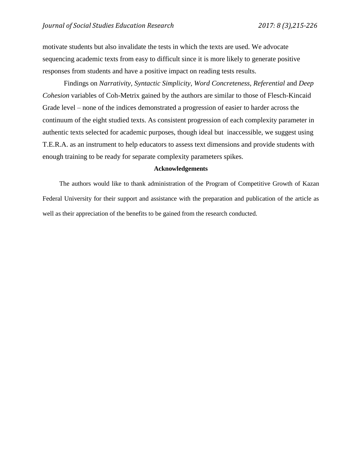motivate students but also invalidate the tests in which the texts are used. We advocate sequencing academic texts from easy to difficult since it is more likely to generate positive responses from students and have a positive impact on reading tests results.

Findings on *Narrativity, Syntactic Simplicity, Word Concreteness, Referential* and *Deep Cohesion* variables of Coh-Metrix gained by the authors are similar to those of Flesch-Kincaid Grade level – none of the indices demonstrated a progression of easier to harder across the continuum of the eight studied texts. As consistent progression of each complexity parameter in authentic texts selected for academic purposes, though ideal but inaccessible, we suggest using T.E.R.A. as an instrument to help educators to assess text dimensions and provide students with enough training to be ready for separate complexity parameters spikes.

### **Acknowledgements**

The authors would like to thank administration of the Program of Competitive Growth of Kazan Federal University for their support and assistance with the preparation and publication of the article as well as their appreciation of the benefits to be gained from the research conducted.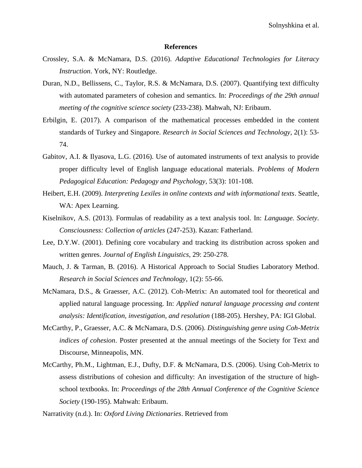#### **References**

- Crossley, S.A. & McNamara, D.S. (2016). *Adaptive Educational Technologies for Literacy Instruction*. York, NY: Routledge.
- Duran, N.D., Bellissens, C., Taylor, R.S. & McNamara, D.S. (2007). Quantifying text difficulty with automated parameters of cohesion and semantics. In: *Proceedings of the 29th annual meeting of the cognitive science society* (233-238). Mahwah, NJ: Eribaum.
- Erbilgin, E. (2017). A comparison of the mathematical processes embedded in the content standards of Turkey and Singapore. *Research in Social Sciences and Technology*, 2(1): 53- 74.
- Gabitov, A.I. & Ilyasova, L.G. (2016). Use of automated instruments of text analysis to provide proper difficulty level of English language educational materials. *Problems of Modern Pedagogical Education: Pedagogy and Psychology*, 53(3): 101-108.
- Heibert, E.H. (2009). *Interpreting Lexiles in online contexts and with informational texts*. Seattle, WA: Apex Learning.
- Kiselnikov, A.S. (2013). Formulas of readability as a text analysis tool. In: *Language. Society. Consciousness: Collection of articles* (247-253). Kazan: Fatherland.
- Lee, D.Y.W. (2001). Defining core vocabulary and tracking its distribution across spoken and written genres. *Journal of English Linguistics*, 29: 250-278.
- Mauch, J. & Tarman, B. (2016). A Historical Approach to Social Studies Laboratory Method. *Research in Social Sciences and Technology*, 1(2): 55-66.
- McNamara, D.S., & Graesser, A.C. (2012). Coh-Metrix: An automated tool for theoretical and applied natural language processing. In: *Applied natural language processing and content analysis: Identification, investigation, and resolution* (188-205). Hershey, PA: IGI Global.
- McCarthy, P., Graesser, A.C. & McNamara, D.S. (2006). *Distinguishing genre using Coh-Metrix indices of cohesion*. Poster presented at the annual meetings of the Society for Text and Discourse, Minneapolis, MN.
- McCarthy, Ph.M., Lightman, E.J., Dufty, D.F. & McNamara, D.S. (2006). Using Coh-Metrix to assess distributions of cohesion and difficulty: An investigation of the structure of highschool textbooks. In: *Proceedings of the 28th Annual Conference of the Cognitive Science Society* (190-195). Mahwah: Eribaum.

Narrativity (n.d.). In: *Oxford Living Dictionaries*. Retrieved from